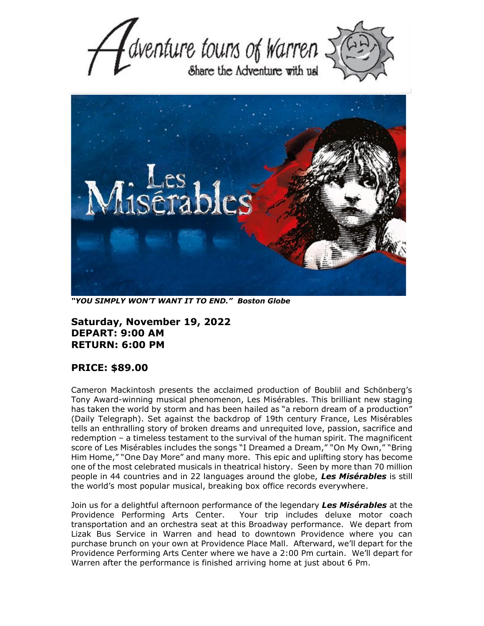



*"YOU SIMPLY WON'T WANT IT TO END." Boston Globe*

**Saturday, November 19, 2022 DEPART: 9:00 AM RETURN: 6:00 PM**

## **PRICE: \$89.00**

Cameron Mackintosh presents the acclaimed production of Boublil and Schönberg's Tony Award-winning musical phenomenon, Les Misérables. This brilliant new staging has taken the world by storm and has been hailed as "a reborn dream of a production" (Daily Telegraph). Set against the backdrop of 19th century France, Les Misérables tells an enthralling story of broken dreams and unrequited love, passion, sacrifice and redemption – a timeless testament to the survival of the human spirit. The magnificent score of Les Misérables includes the songs "I Dreamed a Dream," "On My Own," "Bring Him Home," "One Day More" and many more. This epic and uplifting story has become one of the most celebrated musicals in theatrical history. Seen by more than 70 million people in 44 countries and in 22 languages around the globe, *Les Misérables* is still the world's most popular musical, breaking box office records everywhere.

Join us for a delightful afternoon performance of the legendary *Les Misérables* at the Providence Performing Arts Center. Your trip includes deluxe motor coach transportation and an orchestra seat at this Broadway performance. We depart from Lizak Bus Service in Warren and head to downtown Providence where you can purchase brunch on your own at Providence Place Mall. Afterward, we'll depart for the Providence Performing Arts Center where we have a 2:00 Pm curtain. We'll depart for Warren after the performance is finished arriving home at just about 6 Pm.